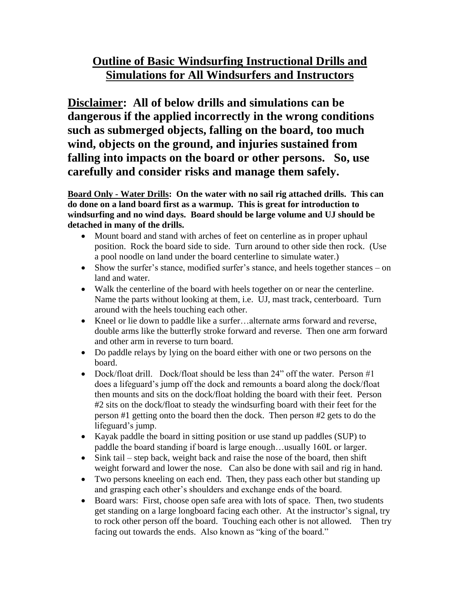# **Outline of Basic Windsurfing Instructional Drills and Simulations for All Windsurfers and Instructors**

**Disclaimer: All of below drills and simulations can be dangerous if the applied incorrectly in the wrong conditions such as submerged objects, falling on the board, too much wind, objects on the ground, and injuries sustained from falling into impacts on the board or other persons. So, use carefully and consider risks and manage them safely.** 

**Board Only - Water Drills: On the water with no sail rig attached drills. This can do done on a land board first as a warmup. This is great for introduction to windsurfing and no wind days. Board should be large volume and UJ should be detached in many of the drills.** 

- Mount board and stand with arches of feet on centerline as in proper uphaul position. Rock the board side to side. Turn around to other side then rock. (Use a pool noodle on land under the board centerline to simulate water.)
- Show the surfer's stance, modified surfer's stance, and heels together stances on land and water.
- Walk the centerline of the board with heels together on or near the centerline. Name the parts without looking at them, i.e. UJ, mast track, centerboard. Turn around with the heels touching each other.
- Kneel or lie down to paddle like a surfer…alternate arms forward and reverse, double arms like the butterfly stroke forward and reverse. Then one arm forward and other arm in reverse to turn board.
- Do paddle relays by lying on the board either with one or two persons on the board.
- Dock/float drill. Dock/float should be less than  $24$ " off the water. Person  $\#1$ does a lifeguard's jump off the dock and remounts a board along the dock/float then mounts and sits on the dock/float holding the board with their feet. Person #2 sits on the dock/float to steady the windsurfing board with their feet for the person #1 getting onto the board then the dock. Then person #2 gets to do the lifeguard's jump.
- Kayak paddle the board in sitting position or use stand up paddles (SUP) to paddle the board standing if board is large enough…usually 160L or larger.
- Sink tail step back, weight back and raise the nose of the board, then shift weight forward and lower the nose. Can also be done with sail and rig in hand.
- Two persons kneeling on each end. Then, they pass each other but standing up and grasping each other's shoulders and exchange ends of the board.
- Board wars: First, choose open safe area with lots of space. Then, two students get standing on a large longboard facing each other. At the instructor's signal, try to rock other person off the board. Touching each other is not allowed. Then try facing out towards the ends. Also known as "king of the board."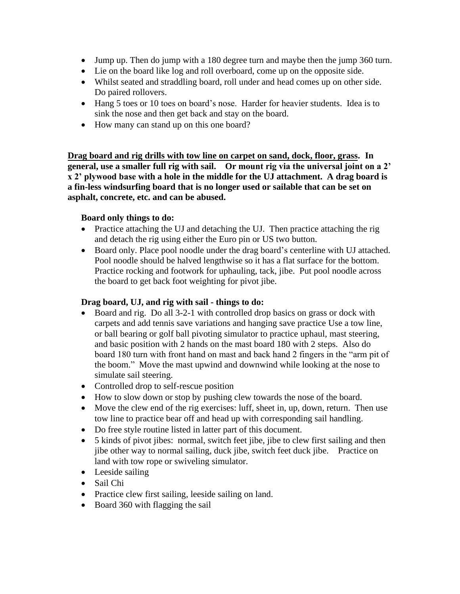- Jump up. Then do jump with a 180 degree turn and maybe then the jump 360 turn.
- Lie on the board like log and roll overboard, come up on the opposite side.
- Whilst seated and straddling board, roll under and head comes up on other side. Do paired rollovers.
- Hang 5 toes or 10 toes on board's nose. Harder for heavier students. Idea is to sink the nose and then get back and stay on the board.
- How many can stand up on this one board?

**Drag board and rig drills with tow line on carpet on sand, dock, floor, grass. In general, use a smaller full rig with sail. Or mount rig via the universal joint on a 2' x 2' plywood base with a hole in the middle for the UJ attachment. A drag board is a fin-less windsurfing board that is no longer used or sailable that can be set on asphalt, concrete, etc. and can be abused.** 

### **Board only things to do:**

- Practice attaching the UJ and detaching the UJ. Then practice attaching the rig and detach the rig using either the Euro pin or US two button.
- Board only. Place pool noodle under the drag board's centerline with UJ attached. Pool noodle should be halved lengthwise so it has a flat surface for the bottom. Practice rocking and footwork for uphauling, tack, jibe. Put pool noodle across the board to get back foot weighting for pivot jibe.

#### **Drag board, UJ, and rig with sail - things to do:**

- Board and rig. Do all 3-2-1 with controlled drop basics on grass or dock with carpets and add tennis save variations and hanging save practice Use a tow line, or ball bearing or golf ball pivoting simulator to practice uphaul, mast steering, and basic position with 2 hands on the mast board 180 with 2 steps. Also do board 180 turn with front hand on mast and back hand 2 fingers in the "arm pit of the boom." Move the mast upwind and downwind while looking at the nose to simulate sail steering.
- Controlled drop to self-rescue position
- How to slow down or stop by pushing clew towards the nose of the board.
- Move the clew end of the rig exercises: luff, sheet in, up, down, return. Then use tow line to practice bear off and head up with corresponding sail handling.
- Do free style routine listed in latter part of this document.
- 5 kinds of pivot jibes: normal, switch feet jibe, jibe to clew first sailing and then jibe other way to normal sailing, duck jibe, switch feet duck jibe. Practice on land with tow rope or swiveling simulator.
- Leeside sailing
- Sail Chi
- Practice clew first sailing, leeside sailing on land.
- Board 360 with flagging the sail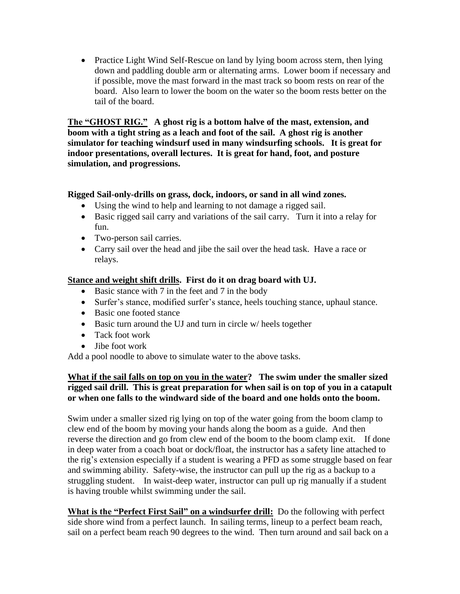• Practice Light Wind Self-Rescue on land by lying boom across stern, then lying down and paddling double arm or alternating arms. Lower boom if necessary and if possible, move the mast forward in the mast track so boom rests on rear of the board. Also learn to lower the boom on the water so the boom rests better on the tail of the board.

**The "GHOST RIG." A ghost rig is a bottom halve of the mast, extension, and boom with a tight string as a leach and foot of the sail. A ghost rig is another simulator for teaching windsurf used in many windsurfing schools. It is great for indoor presentations, overall lectures. It is great for hand, foot, and posture simulation, and progressions.** 

### **Rigged Sail-only-drills on grass, dock, indoors, or sand in all wind zones.**

- Using the wind to help and learning to not damage a rigged sail.
- Basic rigged sail carry and variations of the sail carry. Turn it into a relay for fun.
- Two-person sail carries.
- Carry sail over the head and jibe the sail over the head task. Have a race or relays.

### **Stance and weight shift drills. First do it on drag board with UJ.**

- Basic stance with 7 in the feet and 7 in the body
- Surfer's stance, modified surfer's stance, heels touching stance, uphaul stance.
- Basic one footed stance
- Basic turn around the UJ and turn in circle w/ heels together
- Tack foot work
- Jibe foot work

Add a pool noodle to above to simulate water to the above tasks.

### **What if the sail falls on top on you in the water? The swim under the smaller sized rigged sail drill. This is great preparation for when sail is on top of you in a catapult or when one falls to the windward side of the board and one holds onto the boom.**

Swim under a smaller sized rig lying on top of the water going from the boom clamp to clew end of the boom by moving your hands along the boom as a guide. And then reverse the direction and go from clew end of the boom to the boom clamp exit. If done in deep water from a coach boat or dock/float, the instructor has a safety line attached to the rig's extension especially if a student is wearing a PFD as some struggle based on fear and swimming ability. Safety-wise, the instructor can pull up the rig as a backup to a struggling student. In waist-deep water, instructor can pull up rig manually if a student is having trouble whilst swimming under the sail.

**What is the "Perfect First Sail" on a windsurfer drill:** Do the following with perfect side shore wind from a perfect launch. In sailing terms, lineup to a perfect beam reach, sail on a perfect beam reach 90 degrees to the wind. Then turn around and sail back on a